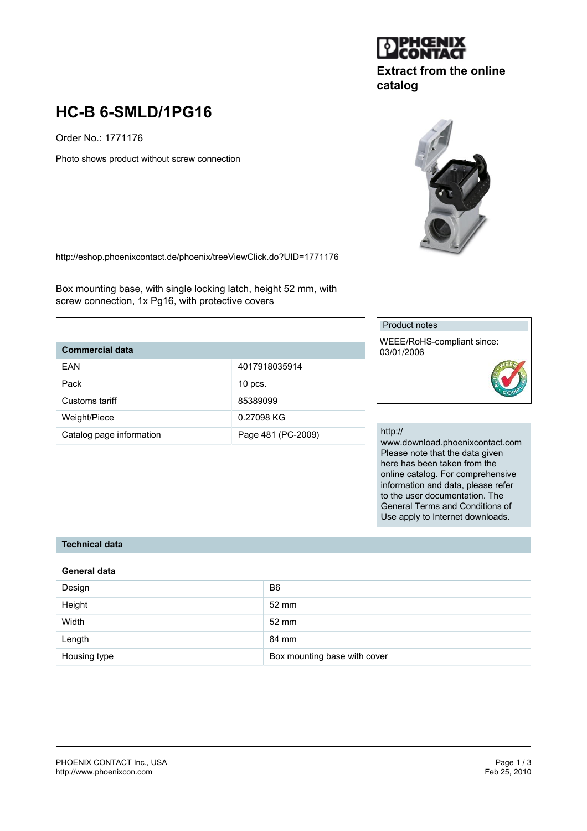

## **Extract from the online catalog**

# **HC-B 6-SMLD/1PG16**

Order No.: 1771176

Photo shows product without screw connection



http://eshop.phoenixcontact.de/phoenix/treeViewClick.do?UID=1771176

Box mounting base, with single locking latch, height 52 mm, with screw connection, 1x Pg16, with protective covers

## **Commercial data**

| FAN                      | 4017918035914      |
|--------------------------|--------------------|
| Pack                     | $10$ pcs.          |
| Customs tariff           | 85389099           |
| Weight/Piece             | 0.27098 KG         |
| Catalog page information | Page 481 (PC-2009) |

#### Product notes

WEEE/RoHS-compliant since: 03/01/2006

#### http://

www.download.phoenixcontact.com Please note that the data given here has been taken from the online catalog. For comprehensive information and data, please refer to the user documentation. The General Terms and Conditions of Use apply to Internet downloads.

#### **Technical data**

#### **General data**

| Design       | B <sub>6</sub>               |
|--------------|------------------------------|
| Height       | 52 mm                        |
| Width        | 52 mm                        |
| Length       | 84 mm                        |
| Housing type | Box mounting base with cover |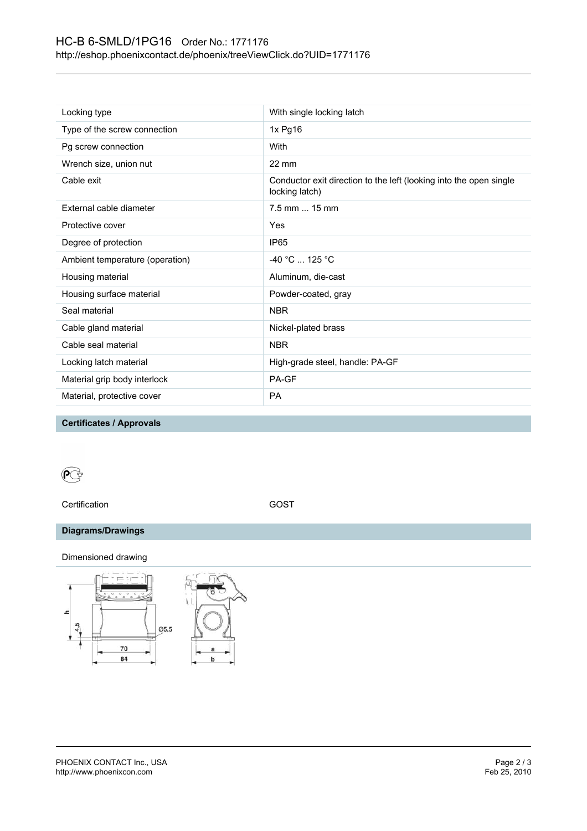## HC-B 6-SMLD/1PG16 Order No.: 1771176 http://eshop.phoenixcontact.de/phoenix/treeViewClick.do?UID=1771176

| Locking type                    | With single locking latch                                                            |
|---------------------------------|--------------------------------------------------------------------------------------|
| Type of the screw connection    | 1x Pg16                                                                              |
| Pg screw connection             | With                                                                                 |
| Wrench size, union nut          | $22 \text{ mm}$                                                                      |
| Cable exit                      | Conductor exit direction to the left (looking into the open single<br>locking latch) |
| External cable diameter         | 7.5 mm  15 mm                                                                        |
| Protective cover                | Yes                                                                                  |
| Degree of protection            | IP <sub>65</sub>                                                                     |
| Ambient temperature (operation) | -40 °C  125 °C                                                                       |
| Housing material                | Aluminum, die-cast                                                                   |
| Housing surface material        | Powder-coated, gray                                                                  |
| Seal material                   | <b>NBR</b>                                                                           |
| Cable gland material            | Nickel-plated brass                                                                  |
| Cable seal material             | <b>NBR</b>                                                                           |
| Locking latch material          | High-grade steel, handle: PA-GF                                                      |
| Material grip body interlock    | PA-GF                                                                                |
| Material, protective cover      | <b>PA</b>                                                                            |

**Certificates / Approvals**

## $\mathbf{C}$

Certification GOST

## **Diagrams/Drawings**

Dimensioned drawing